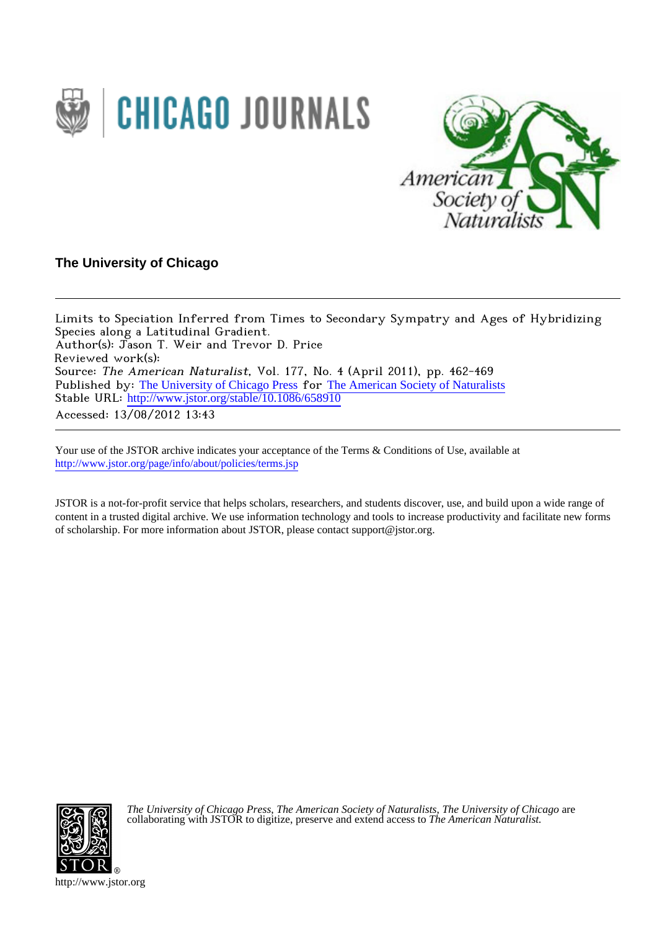



# **The University of Chicago**

Limits to Speciation Inferred from Times to Secondary Sympatry and Ages of Hybridizing Species along a Latitudinal Gradient. Author(s): Jason T. Weir and Trevor D. Price Reviewed work(s): Source: The American Naturalist, Vol. 177, No. 4 (April 2011), pp. 462-469 Published by: [The University of Chicago Press](http://www.jstor.org/action/showPublisher?publisherCode=ucpress) for [The American Society of Naturalists](http://www.jstor.org/action/showPublisher?publisherCode=amsocnat) Stable URL: http://www.jstor.org/stable/10.1086/658910 Accessed: 13/08/2012 13:43

Your use of the JSTOR archive indicates your acceptance of the Terms & Conditions of Use, available at <http://www.jstor.org/page/info/about/policies/terms.jsp>

JSTOR is a not-for-profit service that helps scholars, researchers, and students discover, use, and build upon a wide range of content in a trusted digital archive. We use information technology and tools to increase productivity and facilitate new forms of scholarship. For more information about JSTOR, please contact support@jstor.org.



*The University of Chicago Press*, *The American Society of Naturalists*, *The University of Chicago* are collaborating with JSTOR to digitize, preserve and extend access to *The American Naturalist.*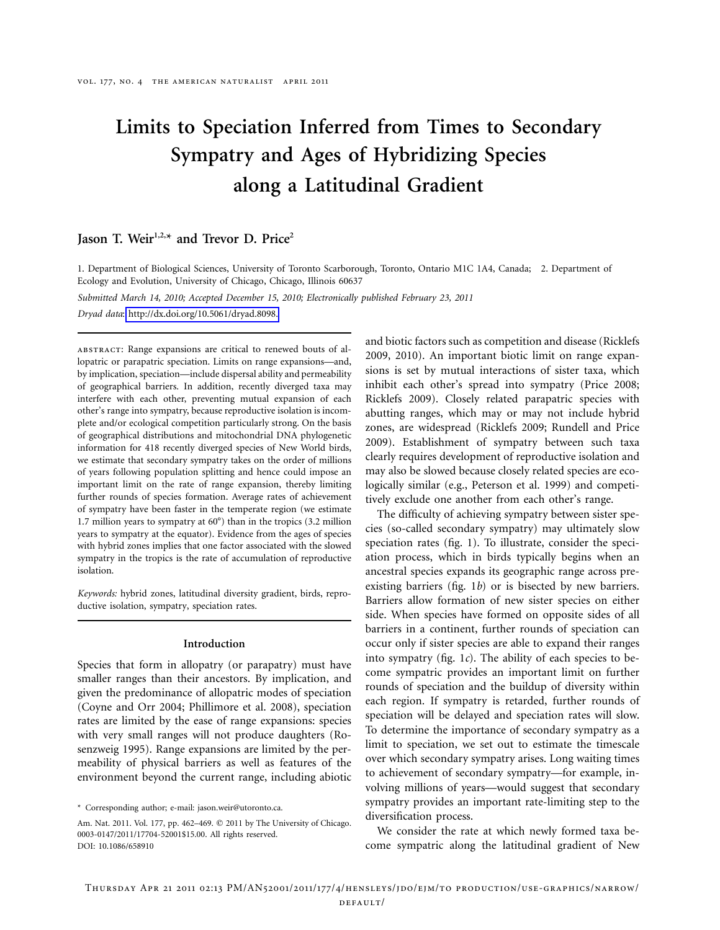# **Limits to Speciation Inferred from Times to Secondary Sympatry and Ages of Hybridizing Species along a Latitudinal Gradient**

# Jason T. Weir<sup>1,2,\*</sup> and Trevor D. Price<sup>2</sup>

1. Department of Biological Sciences, University of Toronto Scarborough, Toronto, Ontario M1C 1A4, Canada; 2. Department of Ecology and Evolution, University of Chicago, Chicago, Illinois 60637

*Submitted March 14, 2010; Accepted December 15, 2010; Electronically published February 23, 2011*

*Dryad data*: [http://dx.doi.org/10.5061/dryad.8098.](http://dx.doi.org/10.5061/dryad.8098)

abstract: Range expansions are critical to renewed bouts of allopatric or parapatric speciation. Limits on range expansions—and, by implication, speciation—include dispersal ability and permeability of geographical barriers. In addition, recently diverged taxa may interfere with each other, preventing mutual expansion of each other's range into sympatry, because reproductive isolation is incomplete and/or ecological competition particularly strong. On the basis of geographical distributions and mitochondrial DNA phylogenetic information for 418 recently diverged species of New World birds, we estimate that secondary sympatry takes on the order of millions of years following population splitting and hence could impose an important limit on the rate of range expansion, thereby limiting further rounds of species formation. Average rates of achievement of sympatry have been faster in the temperate region (we estimate 1.7 million years to sympatry at  $60^{\circ}$ ) than in the tropics (3.2 million years to sympatry at the equator). Evidence from the ages of species with hybrid zones implies that one factor associated with the slowed sympatry in the tropics is the rate of accumulation of reproductive isolation.

*Keywords:* hybrid zones, latitudinal diversity gradient, birds, reproductive isolation, sympatry, speciation rates.

#### **Introduction**

Species that form in allopatry (or parapatry) must have smaller ranges than their ancestors. By implication, and given the predominance of allopatric modes of speciation (Coyne and Orr 2004; Phillimore et al. 2008), speciation rates are limited by the ease of range expansions: species with very small ranges will not produce daughters (Rosenzweig 1995). Range expansions are limited by the permeability of physical barriers as well as features of the environment beyond the current range, including abiotic

\* Corresponding author; e-mail: jason.weir@utoronto.ca.

and biotic factors such as competition and disease (Ricklefs 2009, 2010). An important biotic limit on range expansions is set by mutual interactions of sister taxa, which inhibit each other's spread into sympatry (Price 2008; Ricklefs 2009). Closely related parapatric species with abutting ranges, which may or may not include hybrid zones, are widespread (Ricklefs 2009; Rundell and Price 2009). Establishment of sympatry between such taxa clearly requires development of reproductive isolation and may also be slowed because closely related species are ecologically similar (e.g., Peterson et al. 1999) and competitively exclude one another from each other's range.

The difficulty of achieving sympatry between sister species (so-called secondary sympatry) may ultimately slow speciation rates (fig. 1). To illustrate, consider the speciation process, which in birds typically begins when an ancestral species expands its geographic range across preexisting barriers (fig. 1*b*) or is bisected by new barriers. Barriers allow formation of new sister species on either side. When species have formed on opposite sides of all barriers in a continent, further rounds of speciation can occur only if sister species are able to expand their ranges into sympatry (fig. 1*c*). The ability of each species to become sympatric provides an important limit on further rounds of speciation and the buildup of diversity within each region. If sympatry is retarded, further rounds of speciation will be delayed and speciation rates will slow. To determine the importance of secondary sympatry as a limit to speciation, we set out to estimate the timescale over which secondary sympatry arises. Long waiting times to achievement of secondary sympatry—for example, involving millions of years—would suggest that secondary sympatry provides an important rate-limiting step to the diversification process.

We consider the rate at which newly formed taxa become sympatric along the latitudinal gradient of New

Am. Nat. 2011. Vol. 177, pp. 462-469. © 2011 by The University of Chicago. 0003-0147/2011/17704-52001\$15.00. All rights reserved. DOI: 10.1086/658910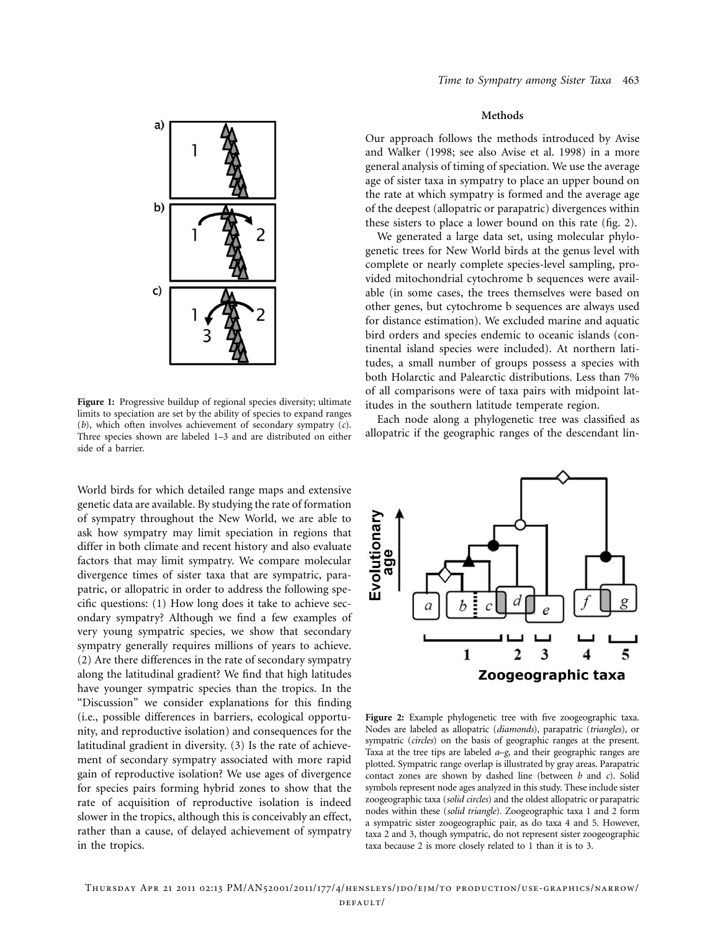

**Figure 1:** Progressive buildup of regional species diversity; ultimate limits to speciation are set by the ability of species to expand ranges (*b*), which often involves achievement of secondary sympatry (*c*). Three species shown are labeled 1–3 and are distributed on either side of a barrier.

World birds for which detailed range maps and extensive genetic data are available. By studying the rate of formation of sympatry throughout the New World, we are able to ask how sympatry may limit speciation in regions that differ in both climate and recent history and also evaluate factors that may limit sympatry. We compare molecular divergence times of sister taxa that are sympatric, parapatric, or allopatric in order to address the following specific questions: (1) How long does it take to achieve secondary sympatry? Although we find a few examples of very young sympatric species, we show that secondary sympatry generally requires millions of years to achieve. (2) Are there differences in the rate of secondary sympatry along the latitudinal gradient? We find that high latitudes have younger sympatric species than the tropics. In the "Discussion" we consider explanations for this finding (i.e., possible differences in barriers, ecological opportunity, and reproductive isolation) and consequences for the latitudinal gradient in diversity. (3) Is the rate of achievement of secondary sympatry associated with more rapid gain of reproductive isolation? We use ages of divergence for species pairs forming hybrid zones to show that the rate of acquisition of reproductive isolation is indeed slower in the tropics, although this is conceivably an effect, rather than a cause, of delayed achievement of sympatry in the tropics.

### **Methods**

Our approach follows the methods introduced by Avise and Walker (1998; see also Avise et al. 1998) in a more general analysis of timing of speciation. We use the average age of sister taxa in sympatry to place an upper bound on the rate at which sympatry is formed and the average age of the deepest (allopatric or parapatric) divergences within these sisters to place a lower bound on this rate (fig. 2).

We generated a large data set, using molecular phylogenetic trees for New World birds at the genus level with complete or nearly complete species-level sampling, provided mitochondrial cytochrome b sequences were available (in some cases, the trees themselves were based on other genes, but cytochrome b sequences are always used for distance estimation). We excluded marine and aquatic bird orders and species endemic to oceanic islands (continental island species were included). At northern latitudes, a small number of groups possess a species with both Holarctic and Palearctic distributions. Less than 7% of all comparisons were of taxa pairs with midpoint latitudes in the southern latitude temperate region.

Each node along a phylogenetic tree was classified as allopatric if the geographic ranges of the descendant lin-



**Figure 2:** Example phylogenetic tree with five zoogeographic taxa. Nodes are labeled as allopatric (*diamonds*), parapatric (*triangles*), or sympatric (*circles*) on the basis of geographic ranges at the present. Taxa at the tree tips are labeled *a*–*g*, and their geographic ranges are plotted. Sympatric range overlap is illustrated by gray areas. Parapatric contact zones are shown by dashed line (between *b* and *c*). Solid symbols represent node ages analyzed in this study. These include sister zoogeographic taxa (*solid circles*) and the oldest allopatric or parapatric nodes within these (*solid triangle*). Zoogeographic taxa 1 and 2 form a sympatric sister zoogeographic pair, as do taxa 4 and 5. However, taxa 2 and 3, though sympatric, do not represent sister zoogeographic taxa because 2 is more closely related to 1 than it is to 3.

Thursday Apr 21 2011 02:13 PM/AN52001/2011/177/4/hensleys/jdo/ejm/to production/use-graphics/narrow/ default/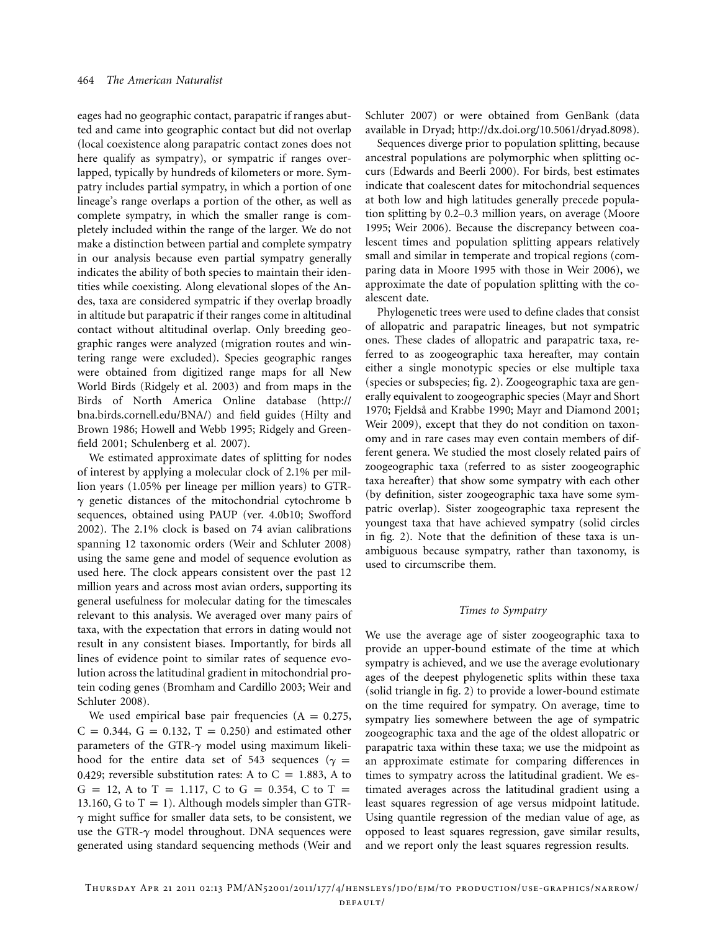eages had no geographic contact, parapatric if ranges abutted and came into geographic contact but did not overlap (local coexistence along parapatric contact zones does not here qualify as sympatry), or sympatric if ranges overlapped, typically by hundreds of kilometers or more. Sympatry includes partial sympatry, in which a portion of one lineage's range overlaps a portion of the other, as well as complete sympatry, in which the smaller range is completely included within the range of the larger. We do not make a distinction between partial and complete sympatry in our analysis because even partial sympatry generally indicates the ability of both species to maintain their identities while coexisting. Along elevational slopes of the Andes, taxa are considered sympatric if they overlap broadly in altitude but parapatric if their ranges come in altitudinal contact without altitudinal overlap. Only breeding geographic ranges were analyzed (migration routes and wintering range were excluded). Species geographic ranges were obtained from digitized range maps for all New World Birds (Ridgely et al. 2003) and from maps in the Birds of North America Online database [\(http://](http://bna.birds.cornell.edu/BNA/) [bna.birds.cornell.edu/BNA/\)](http://bna.birds.cornell.edu/BNA/) and field guides (Hilty and Brown 1986; Howell and Webb 1995; Ridgely and Greenfield 2001; Schulenberg et al. 2007).

We estimated approximate dates of splitting for nodes of interest by applying a molecular clock of 2.1% per million years (1.05% per lineage per million years) to GTR- $\gamma$  genetic distances of the mitochondrial cytochrome b sequences, obtained using PAUP (ver. 4.0b10; Swofford 2002). The 2.1% clock is based on 74 avian calibrations spanning 12 taxonomic orders (Weir and Schluter 2008) using the same gene and model of sequence evolution as used here. The clock appears consistent over the past 12 million years and across most avian orders, supporting its general usefulness for molecular dating for the timescales relevant to this analysis. We averaged over many pairs of taxa, with the expectation that errors in dating would not result in any consistent biases. Importantly, for birds all lines of evidence point to similar rates of sequence evolution across the latitudinal gradient in mitochondrial protein coding genes (Bromham and Cardillo 2003; Weir and Schluter 2008).

We used empirical base pair frequencies  $(A = 0.275,$  $C = 0.344, G = 0.132, T = 0.250$  and estimated other parameters of the GTR- $\gamma$  model using maximum likelihood for the entire data set of 543 sequences ( $\gamma$  = 0.429; reversible substitution rates: A to  $C = 1.883$ , A to  $G = 12$ , A to T = 1.117, C to G = 0.354, C to T = 13.160, G to  $T = 1$ ). Although models simpler than GTR- $\gamma$  might suffice for smaller data sets, to be consistent, we use the GTR- $\gamma$  model throughout. DNA sequences were generated using standard sequencing methods (Weir and

Schluter 2007) or were obtained from GenBank (data available in Dryad; [http://dx.doi.org/10.5061/dryad.8098\)](http://dx.doi.org/10.5061/dryad.8098).

Sequences diverge prior to population splitting, because ancestral populations are polymorphic when splitting occurs (Edwards and Beerli 2000). For birds, best estimates indicate that coalescent dates for mitochondrial sequences at both low and high latitudes generally precede population splitting by 0.2–0.3 million years, on average (Moore 1995; Weir 2006). Because the discrepancy between coalescent times and population splitting appears relatively small and similar in temperate and tropical regions (comparing data in Moore 1995 with those in Weir 2006), we approximate the date of population splitting with the coalescent date.

Phylogenetic trees were used to define clades that consist of allopatric and parapatric lineages, but not sympatric ones. These clades of allopatric and parapatric taxa, referred to as zoogeographic taxa hereafter, may contain either a single monotypic species or else multiple taxa (species or subspecies; fig. 2). Zoogeographic taxa are generally equivalent to zoogeographic species (Mayr and Short 1970; Fjeldså and Krabbe 1990; Mayr and Diamond 2001; Weir 2009), except that they do not condition on taxonomy and in rare cases may even contain members of different genera. We studied the most closely related pairs of zoogeographic taxa (referred to as sister zoogeographic taxa hereafter) that show some sympatry with each other (by definition, sister zoogeographic taxa have some sympatric overlap). Sister zoogeographic taxa represent the youngest taxa that have achieved sympatry (solid circles in fig. 2). Note that the definition of these taxa is unambiguous because sympatry, rather than taxonomy, is used to circumscribe them.

#### *Times to Sympatry*

We use the average age of sister zoogeographic taxa to provide an upper-bound estimate of the time at which sympatry is achieved, and we use the average evolutionary ages of the deepest phylogenetic splits within these taxa (solid triangle in fig. 2) to provide a lower-bound estimate on the time required for sympatry. On average, time to sympatry lies somewhere between the age of sympatric zoogeographic taxa and the age of the oldest allopatric or parapatric taxa within these taxa; we use the midpoint as an approximate estimate for comparing differences in times to sympatry across the latitudinal gradient. We estimated averages across the latitudinal gradient using a least squares regression of age versus midpoint latitude. Using quantile regression of the median value of age, as opposed to least squares regression, gave similar results, and we report only the least squares regression results.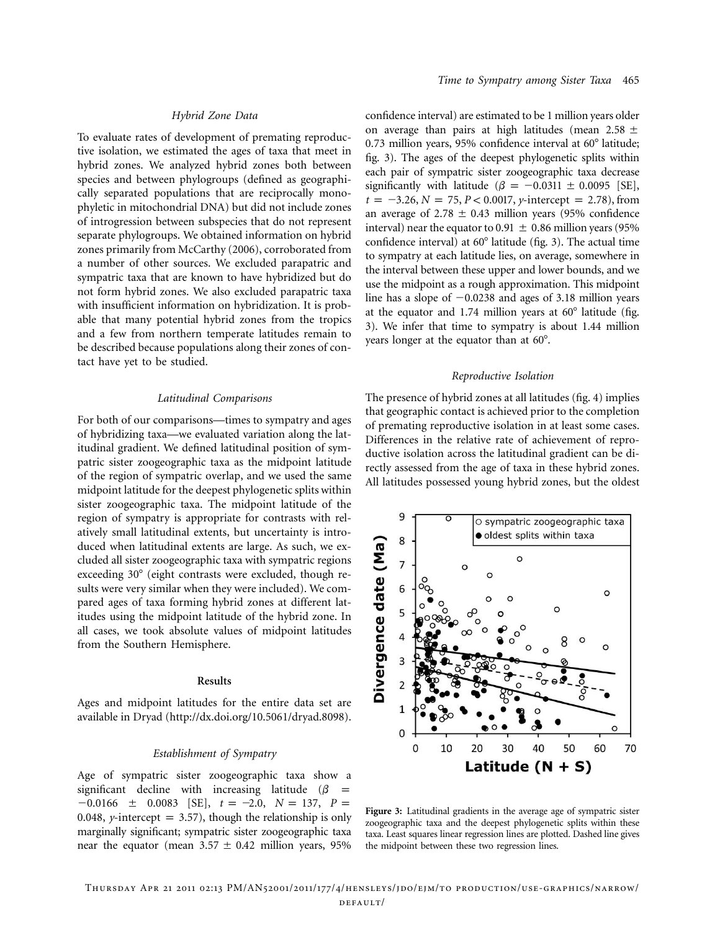## *Hybrid Zone Data*

To evaluate rates of development of premating reproductive isolation, we estimated the ages of taxa that meet in hybrid zones. We analyzed hybrid zones both between species and between phylogroups (defined as geographically separated populations that are reciprocally monophyletic in mitochondrial DNA) but did not include zones of introgression between subspecies that do not represent separate phylogroups. We obtained information on hybrid zones primarily from McCarthy (2006), corroborated from a number of other sources. We excluded parapatric and sympatric taxa that are known to have hybridized but do not form hybrid zones. We also excluded parapatric taxa with insufficient information on hybridization. It is probable that many potential hybrid zones from the tropics and a few from northern temperate latitudes remain to be described because populations along their zones of contact have yet to be studied.

#### *Latitudinal Comparisons*

For both of our comparisons—times to sympatry and ages of hybridizing taxa—we evaluated variation along the latitudinal gradient. We defined latitudinal position of sympatric sister zoogeographic taxa as the midpoint latitude of the region of sympatric overlap, and we used the same midpoint latitude for the deepest phylogenetic splits within sister zoogeographic taxa. The midpoint latitude of the region of sympatry is appropriate for contrasts with relatively small latitudinal extents, but uncertainty is introduced when latitudinal extents are large. As such, we excluded all sister zoogeographic taxa with sympatric regions exceeding 30° (eight contrasts were excluded, though results were very similar when they were included). We compared ages of taxa forming hybrid zones at different latitudes using the midpoint latitude of the hybrid zone. In all cases, we took absolute values of midpoint latitudes from the Southern Hemisphere.

#### **Results**

Ages and midpoint latitudes for the entire data set are available in Dryad [\(http://dx.doi.org/10.5061/dryad.8098\)](http://dx.doi.org/10.5061/dryad.8098).

#### *Establishment of Sympatry*

Age of sympatric sister zoogeographic taxa show a significant decline with increasing latitude ( $\beta$  =  $-0.0166 \pm 0.0083$  [SE],  $t = -2.0$ ,  $N = 137$ ,  $P =$ 0.048, *y*-intercept = 3.57), though the relationship is only marginally significant; sympatric sister zoogeographic taxa near the equator (mean  $3.57 \pm 0.42$  million years, 95% confidence interval) are estimated to be 1 million years older on average than pairs at high latitudes (mean 2.58  $\pm$ 0.73 million years, 95% confidence interval at  $60^\circ$  latitude; fig. 3). The ages of the deepest phylogenetic splits within each pair of sympatric sister zoogeographic taxa decrease significantly with latitude ( $\beta = -0.0311 \pm 0.0095$  [SE],  $t = -3.26$ ,  $N = 75$ ,  $P < 0.0017$ , *y*-intercept = 2.78), from an average of 2.78  $\pm$  0.43 million years (95% confidence interval) near the equator to 0.91  $\pm$  0.86 million years (95% confidence interval) at  $60^{\circ}$  latitude (fig. 3). The actual time to sympatry at each latitude lies, on average, somewhere in the interval between these upper and lower bounds, and we use the midpoint as a rough approximation. This midpoint line has a slope of  $-0.0238$  and ages of 3.18 million years at the equator and 1.74 million years at  $60^\circ$  latitude (fig. 3). We infer that time to sympatry is about 1.44 million years longer at the equator than at 60°.

#### *Reproductive Isolation*

The presence of hybrid zones at all latitudes (fig. 4) implies that geographic contact is achieved prior to the completion of premating reproductive isolation in at least some cases. Differences in the relative rate of achievement of reproductive isolation across the latitudinal gradient can be directly assessed from the age of taxa in these hybrid zones. All latitudes possessed young hybrid zones, but the oldest



**Figure 3:** Latitudinal gradients in the average age of sympatric sister zoogeographic taxa and the deepest phylogenetic splits within these taxa. Least squares linear regression lines are plotted. Dashed line gives the midpoint between these two regression lines.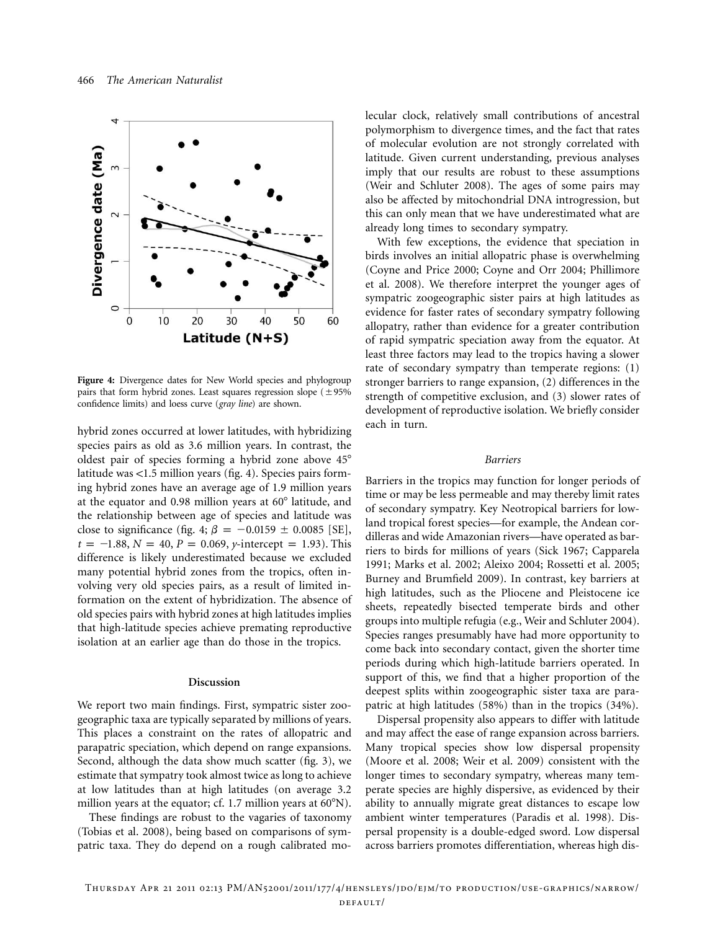

**Figure 4:** Divergence dates for New World species and phylogroup pairs that form hybrid zones. Least squares regression slope  $(\pm 95\%$ confidence limits) and loess curve (*gray line*) are shown.

hybrid zones occurred at lower latitudes, with hybridizing species pairs as old as 3.6 million years. In contrast, the oldest pair of species forming a hybrid zone above 45 latitude was  $< 1.5$  million years (fig. 4). Species pairs forming hybrid zones have an average age of 1.9 million years at the equator and  $0.98$  million years at  $60^\circ$  latitude, and the relationship between age of species and latitude was close to significance (fig. 4;  $\beta = -0.0159 \pm 0.0085$  [SE],  $t = -1.88$ ,  $N = 40$ ,  $P = 0.069$ , *y*-intercept = 1.93). This difference is likely underestimated because we excluded many potential hybrid zones from the tropics, often involving very old species pairs, as a result of limited information on the extent of hybridization. The absence of old species pairs with hybrid zones at high latitudes implies that high-latitude species achieve premating reproductive isolation at an earlier age than do those in the tropics.

#### **Discussion**

We report two main findings. First, sympatric sister zoogeographic taxa are typically separated by millions of years. This places a constraint on the rates of allopatric and parapatric speciation, which depend on range expansions. Second, although the data show much scatter (fig. 3), we estimate that sympatry took almost twice as long to achieve at low latitudes than at high latitudes (on average 3.2 million years at the equator; cf. 1.7 million years at  $60^{\circ}$ N).

These findings are robust to the vagaries of taxonomy (Tobias et al. 2008), being based on comparisons of sympatric taxa. They do depend on a rough calibrated molecular clock, relatively small contributions of ancestral polymorphism to divergence times, and the fact that rates of molecular evolution are not strongly correlated with latitude. Given current understanding, previous analyses imply that our results are robust to these assumptions (Weir and Schluter 2008). The ages of some pairs may also be affected by mitochondrial DNA introgression, but this can only mean that we have underestimated what are already long times to secondary sympatry.

With few exceptions, the evidence that speciation in birds involves an initial allopatric phase is overwhelming (Coyne and Price 2000; Coyne and Orr 2004; Phillimore et al. 2008). We therefore interpret the younger ages of sympatric zoogeographic sister pairs at high latitudes as evidence for faster rates of secondary sympatry following allopatry, rather than evidence for a greater contribution of rapid sympatric speciation away from the equator. At least three factors may lead to the tropics having a slower rate of secondary sympatry than temperate regions: (1) stronger barriers to range expansion, (2) differences in the strength of competitive exclusion, and (3) slower rates of development of reproductive isolation. We briefly consider each in turn.

#### *Barriers*

Barriers in the tropics may function for longer periods of time or may be less permeable and may thereby limit rates of secondary sympatry. Key Neotropical barriers for lowland tropical forest species—for example, the Andean cordilleras and wide Amazonian rivers—have operated as barriers to birds for millions of years (Sick 1967; Capparela 1991; Marks et al. 2002; Aleixo 2004; Rossetti et al. 2005; Burney and Brumfield 2009). In contrast, key barriers at high latitudes, such as the Pliocene and Pleistocene ice sheets, repeatedly bisected temperate birds and other groups into multiple refugia (e.g., Weir and Schluter 2004). Species ranges presumably have had more opportunity to come back into secondary contact, given the shorter time periods during which high-latitude barriers operated. In support of this, we find that a higher proportion of the deepest splits within zoogeographic sister taxa are parapatric at high latitudes (58%) than in the tropics (34%).

Dispersal propensity also appears to differ with latitude and may affect the ease of range expansion across barriers. Many tropical species show low dispersal propensity (Moore et al. 2008; Weir et al. 2009) consistent with the longer times to secondary sympatry, whereas many temperate species are highly dispersive, as evidenced by their ability to annually migrate great distances to escape low ambient winter temperatures (Paradis et al. 1998). Dispersal propensity is a double-edged sword. Low dispersal across barriers promotes differentiation, whereas high dis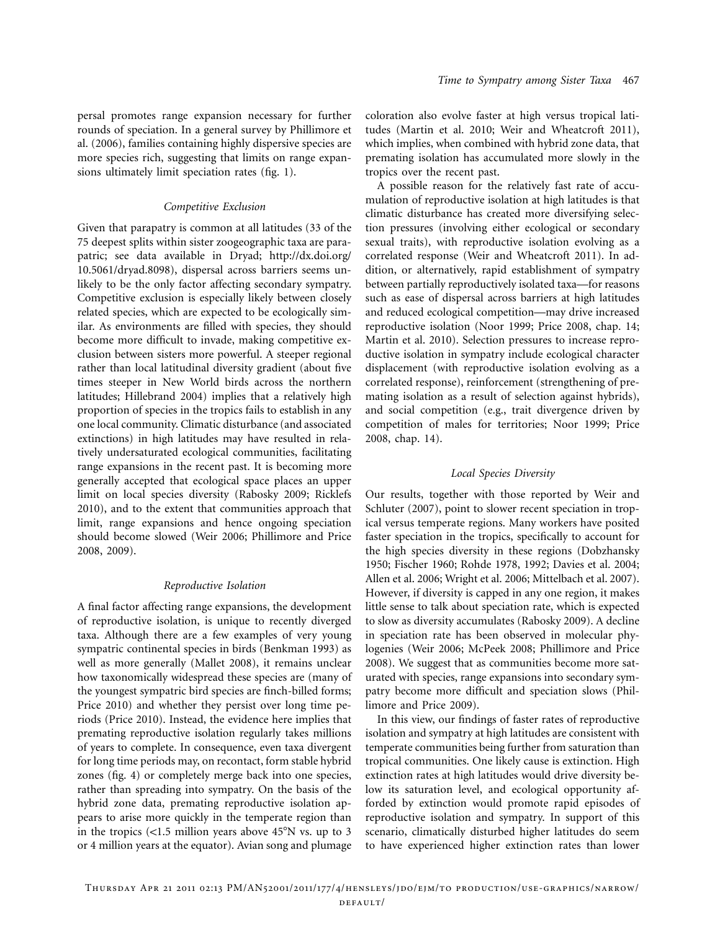persal promotes range expansion necessary for further rounds of speciation. In a general survey by Phillimore et al. (2006), families containing highly dispersive species are more species rich, suggesting that limits on range expansions ultimately limit speciation rates (fig. 1).

#### *Competitive Exclusion*

Given that parapatry is common at all latitudes (33 of the 75 deepest splits within sister zoogeographic taxa are parapatric; see data available in Dryad; [http://dx.doi.org/](http://dx.doi.org/10.5061/dryad.8098) [10.5061/dryad.8098\)](http://dx.doi.org/10.5061/dryad.8098), dispersal across barriers seems unlikely to be the only factor affecting secondary sympatry. Competitive exclusion is especially likely between closely related species, which are expected to be ecologically similar. As environments are filled with species, they should become more difficult to invade, making competitive exclusion between sisters more powerful. A steeper regional rather than local latitudinal diversity gradient (about five times steeper in New World birds across the northern latitudes; Hillebrand 2004) implies that a relatively high proportion of species in the tropics fails to establish in any one local community. Climatic disturbance (and associated extinctions) in high latitudes may have resulted in relatively undersaturated ecological communities, facilitating range expansions in the recent past. It is becoming more generally accepted that ecological space places an upper limit on local species diversity (Rabosky 2009; Ricklefs 2010), and to the extent that communities approach that limit, range expansions and hence ongoing speciation should become slowed (Weir 2006; Phillimore and Price 2008, 2009).

#### *Reproductive Isolation*

A final factor affecting range expansions, the development of reproductive isolation, is unique to recently diverged taxa. Although there are a few examples of very young sympatric continental species in birds (Benkman 1993) as well as more generally (Mallet 2008), it remains unclear how taxonomically widespread these species are (many of the youngest sympatric bird species are finch-billed forms; Price 2010) and whether they persist over long time periods (Price 2010). Instead, the evidence here implies that premating reproductive isolation regularly takes millions of years to complete. In consequence, even taxa divergent for long time periods may, on recontact, form stable hybrid zones (fig. 4) or completely merge back into one species, rather than spreading into sympatry. On the basis of the hybrid zone data, premating reproductive isolation appears to arise more quickly in the temperate region than in the tropics  $\langle$ <1.5 million years above 45°N vs. up to 3 or 4 million years at the equator). Avian song and plumage coloration also evolve faster at high versus tropical latitudes (Martin et al. 2010; Weir and Wheatcroft 2011), which implies, when combined with hybrid zone data, that premating isolation has accumulated more slowly in the tropics over the recent past.

A possible reason for the relatively fast rate of accumulation of reproductive isolation at high latitudes is that climatic disturbance has created more diversifying selection pressures (involving either ecological or secondary sexual traits), with reproductive isolation evolving as a correlated response (Weir and Wheatcroft 2011). In addition, or alternatively, rapid establishment of sympatry between partially reproductively isolated taxa—for reasons such as ease of dispersal across barriers at high latitudes and reduced ecological competition—may drive increased reproductive isolation (Noor 1999; Price 2008, chap. 14; Martin et al. 2010). Selection pressures to increase reproductive isolation in sympatry include ecological character displacement (with reproductive isolation evolving as a correlated response), reinforcement (strengthening of premating isolation as a result of selection against hybrids), and social competition (e.g., trait divergence driven by competition of males for territories; Noor 1999; Price 2008, chap. 14).

#### *Local Species Diversity*

Our results, together with those reported by Weir and Schluter (2007), point to slower recent speciation in tropical versus temperate regions. Many workers have posited faster speciation in the tropics, specifically to account for the high species diversity in these regions (Dobzhansky 1950; Fischer 1960; Rohde 1978, 1992; Davies et al. 2004; Allen et al. 2006; Wright et al. 2006; Mittelbach et al. 2007). However, if diversity is capped in any one region, it makes little sense to talk about speciation rate, which is expected to slow as diversity accumulates (Rabosky 2009). A decline in speciation rate has been observed in molecular phylogenies (Weir 2006; McPeek 2008; Phillimore and Price 2008). We suggest that as communities become more saturated with species, range expansions into secondary sympatry become more difficult and speciation slows (Phillimore and Price 2009).

In this view, our findings of faster rates of reproductive isolation and sympatry at high latitudes are consistent with temperate communities being further from saturation than tropical communities. One likely cause is extinction. High extinction rates at high latitudes would drive diversity below its saturation level, and ecological opportunity afforded by extinction would promote rapid episodes of reproductive isolation and sympatry. In support of this scenario, climatically disturbed higher latitudes do seem to have experienced higher extinction rates than lower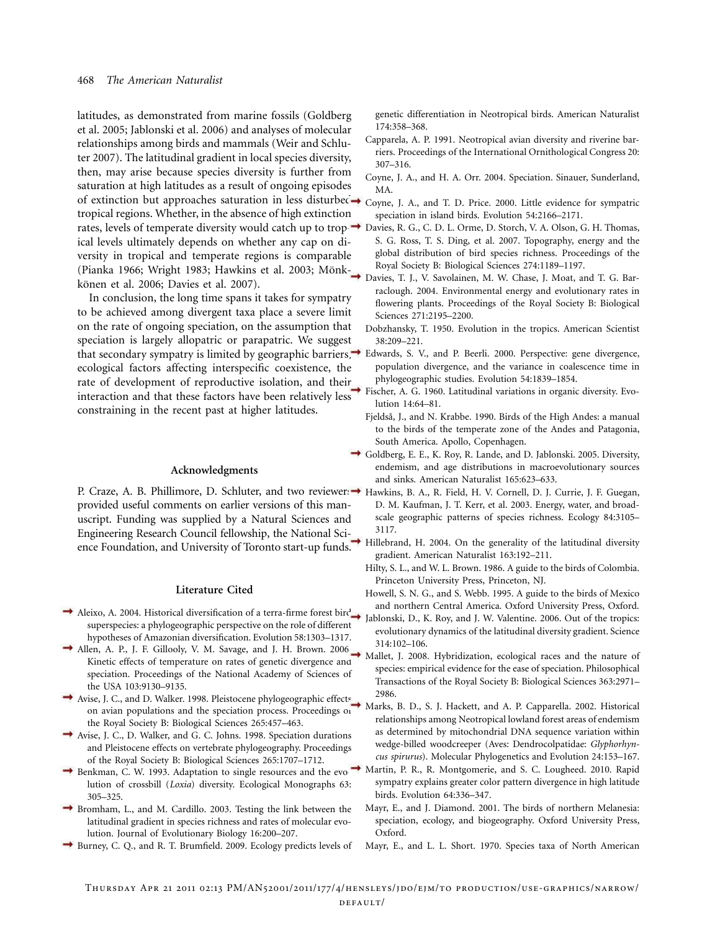latitudes, as demonstrated from marine fossils (Goldberg et al. 2005; Jablonski et al. 2006) and analyses of molecular relationships among birds and mammals (Weir and Schluter 2007). The latitudinal gradient in local species diversity, then, may arise because species diversity is further from saturation at high latitudes as a result of ongoing episodes of extinction but approaches saturation in less disturbed  $\rightarrow$  Coyne, J. A., and T. D. Price. 2000. Little evidence for sympatric tropical regions. Whether, in the absence of high extinction rates, levels of temperate diversity would catch up to trop-Davies, R. G., C. D. L. Orme, D. Storch, V. A. Olson, G. H. Thomas, ical levels ultimately depends on whether any cap on diversity in tropical and temperate regions is comparable (Pianka 1966; Wright 1983; Hawkins et al. 2003; Mönkkönen et al. 2006; Davies et al. 2007).

In conclusion, the long time spans it takes for sympatry to be achieved among divergent taxa place a severe limit on the rate of ongoing speciation, on the assumption that speciation is largely allopatric or parapatric. We suggest that secondary sympatry is limited by geographic barriers, Edwards, S. V., and P. Beerli. 2000. Perspective: gene divergence, ecological factors affecting interspecific coexistence, the rate of development of reproductive isolation, and their interaction and that these factors have been relatively less constraining in the recent past at higher latitudes.

#### **Acknowledgments**

P. Craze, A. B. Phillimore, D. Schluter, and two reviewer:  $\rightarrow$  Hawkins, B. A., R. Field, H. V. Cornell, D. J. Currie, J. F. Guegan, provided useful comments on earlier versions of this manuscript. Funding was supplied by a Natural Sciences and Engineering Research Council fellowship, the National Science Foundation, and University of Toronto start-up funds.

#### **Literature Cited**

- Aleixo, A. 2004. Historical diversification of a terra-firme forest bird superspecies: a phylogeographic perspective on the role of different hypotheses of Amazonian diversification. Evolution 58:1303–1317.
- Allen, A. P., J. F. Gillooly, V. M. Savage, and J. H. Brown. 2006. Kinetic effects of temperature on rates of genetic divergence and speciation. Proceedings of the National Academy of Sciences of the USA 103:9130–9135.
- Avise, J. C., and D. Walker. 1998. Pleistocene phylogeographic effects on avian populations and the speciation process. Proceedings of the Royal Society B: Biological Sciences 265:457–463.
- Avise, J. C., D. Walker, and G. C. Johns. 1998. Speciation durations and Pleistocene effects on vertebrate phylogeography. Proceedings of the Royal Society B: Biological Sciences 265:1707–1712.
- Benkman, C. W. 1993. Adaptation to single resources and the evolution of crossbill (*Loxia*) diversity. Ecological Monographs 63: 305–325.
- Bromham, L., and M. Cardillo. 2003. Testing the link between the latitudinal gradient in species richness and rates of molecular evolution. Journal of Evolutionary Biology 16:200–207.
- Burney, C. Q., and R. T. Brumfield. 2009. Ecology predicts levels of

genetic differentiation in Neotropical birds. American Naturalist 174:358–368.

- Capparela, A. P. 1991. Neotropical avian diversity and riverine barriers. Proceedings of the International Ornithological Congress 20: 307–316.
- Coyne, J. A., and H. A. Orr. 2004. Speciation. Sinauer, Sunderland, MA.
- speciation in island birds. Evolution 54:2166–2171.
- S. G. Ross, T. S. Ding, et al. 2007. Topography, energy and the global distribution of bird species richness. Proceedings of the Royal Society B: Biological Sciences 274:1189–1197.
- Davies, T. J., V. Savolainen, M. W. Chase, J. Moat, and T. G. Barraclough. 2004. Environmental energy and evolutionary rates in flowering plants. Proceedings of the Royal Society B: Biological Sciences 271:2195–2200.
- Dobzhansky, T. 1950. Evolution in the tropics. American Scientist 38:209–221.
- population divergence, and the variance in coalescence time in phylogeographic studies. Evolution 54:1839–1854.
- Fischer, A. G. 1960. Latitudinal variations in organic diversity. Evolution 14:64–81.
- Fjeldså, J., and N. Krabbe. 1990. Birds of the High Andes: a manual to the birds of the temperate zone of the Andes and Patagonia, South America. Apollo, Copenhagen.
- Goldberg, E. E., K. Roy, R. Lande, and D. Jablonski. 2005. Diversity, endemism, and age distributions in macroevolutionary sources and sinks. American Naturalist 165:623–633.
	- D. M. Kaufman, J. T. Kerr, et al. 2003. Energy, water, and broadscale geographic patterns of species richness. Ecology 84:3105– 3117.
- Hillebrand, H. 2004. On the generality of the latitudinal diversity gradient. American Naturalist 163:192–211.
- Hilty, S. L., and W. L. Brown. 1986. A guide to the birds of Colombia. Princeton University Press, Princeton, NJ.
- Howell, S. N. G., and S. Webb. 1995. A guide to the birds of Mexico and northern Central America. Oxford University Press, Oxford.
- Jablonski, D., K. Roy, and J. W. Valentine. 2006. Out of the tropics: evolutionary dynamics of the latitudinal diversity gradient. Science 314:102–106.
- Mallet, J. 2008. Hybridization, ecological races and the nature of species: empirical evidence for the ease of speciation. Philosophical Transactions of the Royal Society B: Biological Sciences 363:2971– 2986.
- Marks, B. D., S. J. Hackett, and A. P. Capparella. 2002. Historical relationships among Neotropical lowland forest areas of endemism as determined by mitochondrial DNA sequence variation within wedge-billed woodcreeper (Aves: Dendrocolpatidae: *Glyphorhyncus spirurus*). Molecular Phylogenetics and Evolution 24:153–167.
- Martin, P. R., R. Montgomerie, and S. C. Lougheed. 2010. Rapid sympatry explains greater color pattern divergence in high latitude birds. Evolution 64:336–347.
	- Mayr, E., and J. Diamond. 2001. The birds of northern Melanesia: speciation, ecology, and biogeography. Oxford University Press, Oxford.
	- Mayr, E., and L. L. Short. 1970. Species taxa of North American